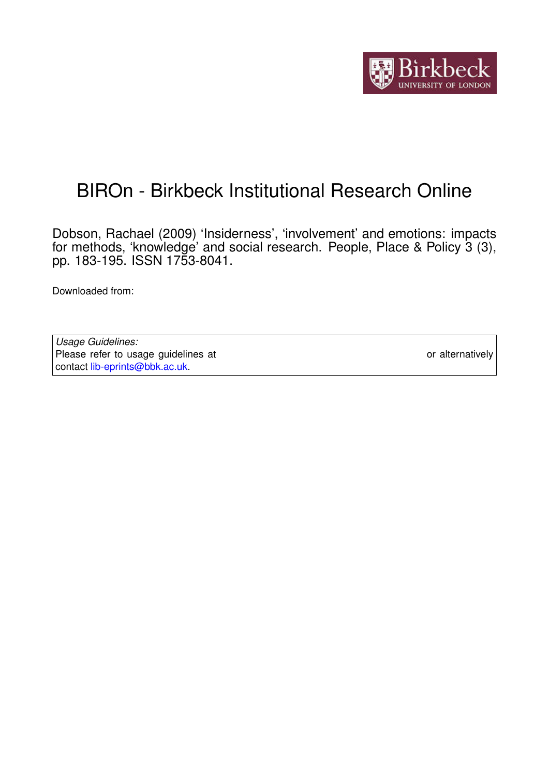

# BIROn - Birkbeck Institutional Research Online

Dobson, Rachael (2009) 'Insiderness', 'involvement' and emotions: impacts for methods, 'knowledge' and social research. People, Place & Policy 3 (3), pp. 183-195. ISSN 1753-8041.

Downloaded from: <https://eprints.bbk.ac.uk/id/eprint/20517/>

*Usage Guidelines:* Please refer to usage guidelines at <https://eprints.bbk.ac.uk/policies.html> or alternatively contact [lib-eprints@bbk.ac.uk.](mailto:lib-eprints@bbk.ac.uk)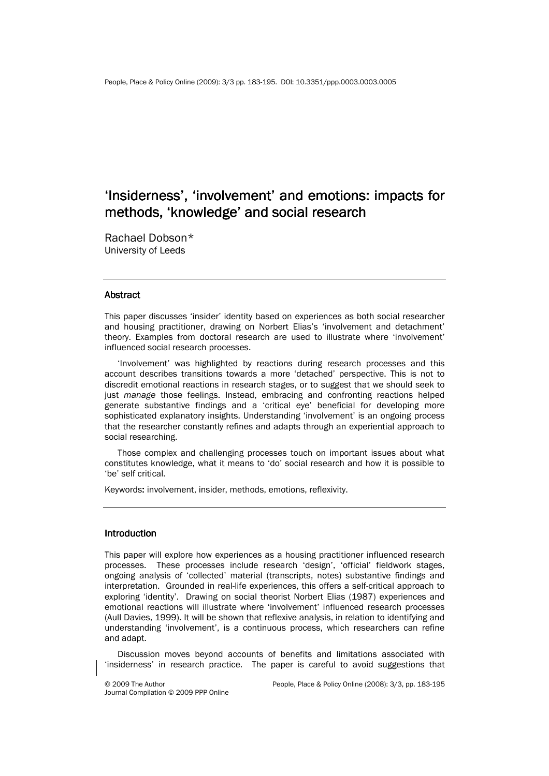# 'Insiderness', 'involvement' and emotions: impacts for methods, 'knowledge' and social research

Rachael Dobson\* University of Leeds

#### **Abstract**

This paper discusses 'insider' identity based on experiences as both social researcher and housing practitioner, drawing on Norbert Elias's 'involvement and detachment' theory. Examples from doctoral research are used to illustrate where 'involvement' influenced social research processes.

'Involvement' was highlighted by reactions during research processes and this account describes transitions towards a more 'detached' perspective. This is not to discredit emotional reactions in research stages, or to suggest that we should seek to just manage those feelings. Instead, embracing and confronting reactions helped generate substantive findings and a 'critical eye' beneficial for developing more sophisticated explanatory insights. Understanding 'involvement' is an ongoing process that the researcher constantly refines and adapts through an experiential approach to social researching.

Those complex and challenging processes touch on important issues about what constitutes knowledge, what it means to 'do' social research and how it is possible to 'be' self critical.

Keywords: involvement, insider, methods, emotions, reflexivity.

# **Introduction**

This paper will explore how experiences as a housing practitioner influenced research processes. These processes include research 'design', 'official' fieldwork stages, ongoing analysis of 'collected' material (transcripts, notes) substantive findings and interpretation. Grounded in real-life experiences, this offers a self-critical approach to exploring 'identity'. Drawing on social theorist Norbert Elias (1987) experiences and emotional reactions will illustrate where 'involvement' influenced research processes (Aull Davies, 1999). It will be shown that reflexive analysis, in relation to identifying and understanding 'involvement', is a continuous process, which researchers can refine and adapt.

Discussion moves beyond accounts of benefits and limitations associated with 'insiderness' in research practice. The paper is careful to avoid suggestions that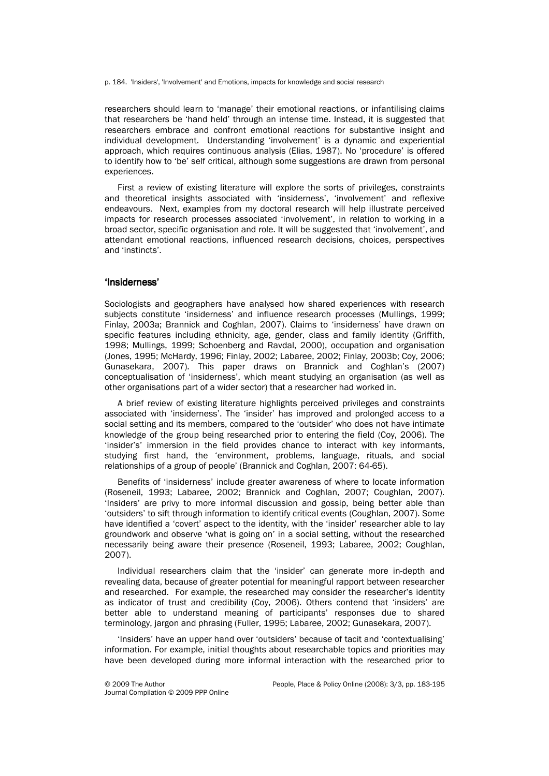p. 184. 'Insiders', 'Involvement' and Emotions, impacts for knowledge and social research

researchers should learn to 'manage' their emotional reactions, or infantilising claims that researchers be 'hand held' through an intense time. Instead, it is suggested that researchers embrace and confront emotional reactions for substantive insight and individual development. Understanding 'involvement' is a dynamic and experiential approach, which requires continuous analysis (Elias, 1987). No 'procedure' is offered to identify how to 'be' self critical, although some suggestions are drawn from personal experiences.

First a review of existing literature will explore the sorts of privileges, constraints and theoretical insights associated with 'insiderness', 'involvement' and reflexive endeavours. Next, examples from my doctoral research will help illustrate perceived impacts for research processes associated 'involvement', in relation to working in a broad sector, specific organisation and role. It will be suggested that 'involvement', and attendant emotional reactions, influenced research decisions, choices, perspectives and 'instincts'.

# 'Insiderness' 'Insiderness'

Sociologists and geographers have analysed how shared experiences with research subjects constitute 'insiderness' and influence research processes (Mullings, 1999; Finlay, 2003a; Brannick and Coghlan, 2007). Claims to 'insiderness' have drawn on specific features including ethnicity, age, gender, class and family identity (Griffith, 1998; Mullings, 1999; Schoenberg and Ravdal, 2000), occupation and organisation (Jones, 1995; McHardy, 1996; Finlay, 2002; Labaree, 2002; Finlay, 2003b; Coy, 2006; Gunasekara, 2007). This paper draws on Brannick and Coghlan's (2007) conceptualisation of 'insiderness', which meant studying an organisation (as well as other organisations part of a wider sector) that a researcher had worked in.

A brief review of existing literature highlights perceived privileges and constraints associated with 'insiderness'. The 'insider' has improved and prolonged access to a social setting and its members, compared to the 'outsider' who does not have intimate knowledge of the group being researched prior to entering the field (Coy, 2006). The 'insider's' immersion in the field provides chance to interact with key informants, studying first hand, the 'environment, problems, language, rituals, and social relationships of a group of people' (Brannick and Coghlan, 2007: 64-65).

Benefits of 'insiderness' include greater awareness of where to locate information (Roseneil, 1993; Labaree, 2002; Brannick and Coghlan, 2007; Coughlan, 2007). 'Insiders' are privy to more informal discussion and gossip, being better able than 'outsiders' to sift through information to identify critical events (Coughlan, 2007). Some have identified a 'covert' aspect to the identity, with the 'insider' researcher able to lay groundwork and observe 'what is going on' in a social setting, without the researched necessarily being aware their presence (Roseneil, 1993; Labaree, 2002; Coughlan, 2007).

Individual researchers claim that the 'insider' can generate more in-depth and revealing data, because of greater potential for meaningful rapport between researcher and researched. For example, the researched may consider the researcher's identity as indicator of trust and credibility (Coy, 2006). Others contend that 'insiders' are better able to understand meaning of participants' responses due to shared terminology, jargon and phrasing (Fuller, 1995; Labaree, 2002; Gunasekara, 2007).

'Insiders' have an upper hand over 'outsiders' because of tacit and 'contextualising' information. For example, initial thoughts about researchable topics and priorities may have been developed during more informal interaction with the researched prior to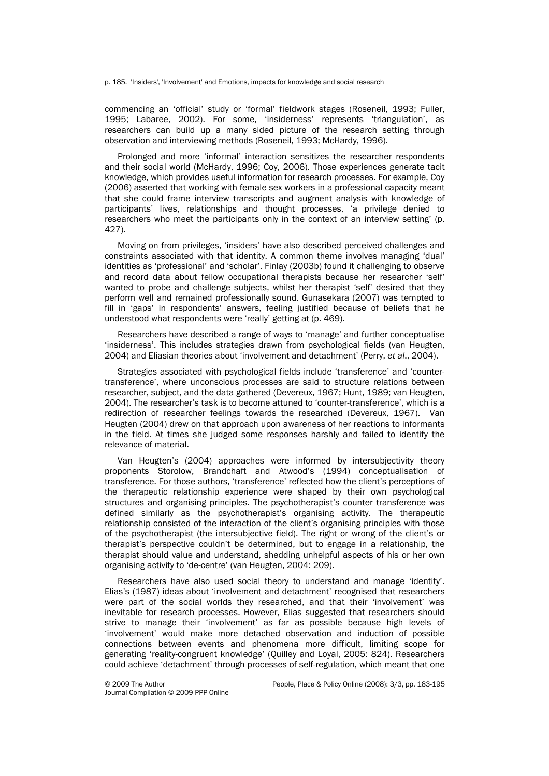p. 185. 'Insiders', 'Involvement' and Emotions, impacts for knowledge and social research

commencing an 'official' study or 'formal' fieldwork stages (Roseneil, 1993; Fuller, 1995; Labaree, 2002). For some, 'insiderness' represents 'triangulation', as researchers can build up a many sided picture of the research setting through observation and interviewing methods (Roseneil, 1993; McHardy, 1996).

Prolonged and more 'informal' interaction sensitizes the researcher respondents and their social world (McHardy, 1996; Coy, 2006). Those experiences generate tacit knowledge, which provides useful information for research processes. For example, Coy (2006) asserted that working with female sex workers in a professional capacity meant that she could frame interview transcripts and augment analysis with knowledge of participants' lives, relationships and thought processes, 'a privilege denied to researchers who meet the participants only in the context of an interview setting' (p. 427).

Moving on from privileges, 'insiders' have also described perceived challenges and constraints associated with that identity. A common theme involves managing 'dual' identities as 'professional' and 'scholar'. Finlay (2003b) found it challenging to observe and record data about fellow occupational therapists because her researcher 'self' wanted to probe and challenge subjects, whilst her therapist 'self' desired that they perform well and remained professionally sound. Gunasekara (2007) was tempted to fill in 'gaps' in respondents' answers, feeling justified because of beliefs that he understood what respondents were 'really' getting at (p. 469).

Researchers have described a range of ways to 'manage' and further conceptualise 'insiderness'. This includes strategies drawn from psychological fields (van Heugten, 2004) and Eliasian theories about 'involvement and detachment' (Perry, et al., 2004).

Strategies associated with psychological fields include 'transference' and 'countertransference', where unconscious processes are said to structure relations between researcher, subject, and the data gathered (Devereux, 1967; Hunt, 1989; van Heugten, 2004). The researcher's task is to become attuned to 'counter-transference', which is a redirection of researcher feelings towards the researched (Devereux, 1967). Van Heugten (2004) drew on that approach upon awareness of her reactions to informants in the field. At times she judged some responses harshly and failed to identify the relevance of material.

Van Heugten's (2004) approaches were informed by intersubjectivity theory proponents Storolow, Brandchaft and Atwood's (1994) conceptualisation of transference. For those authors, 'transference' reflected how the client's perceptions of the therapeutic relationship experience were shaped by their own psychological structures and organising principles. The psychotherapist's counter transference was defined similarly as the psychotherapist's organising activity. The therapeutic relationship consisted of the interaction of the client's organising principles with those of the psychotherapist (the intersubjective field). The right or wrong of the client's or therapist's perspective couldn't be determined, but to engage in a relationship, the therapist should value and understand, shedding unhelpful aspects of his or her own organising activity to 'de-centre' (van Heugten, 2004: 209).

Researchers have also used social theory to understand and manage 'identity'. Elias's (1987) ideas about 'involvement and detachment' recognised that researchers were part of the social worlds they researched, and that their 'involvement' was inevitable for research processes. However, Elias suggested that researchers should strive to manage their 'involvement' as far as possible because high levels of 'involvement' would make more detached observation and induction of possible connections between events and phenomena more difficult, limiting scope for generating 'reality-congruent knowledge' (Quilley and Loyal, 2005: 824). Researchers could achieve 'detachment' through processes of self-regulation, which meant that one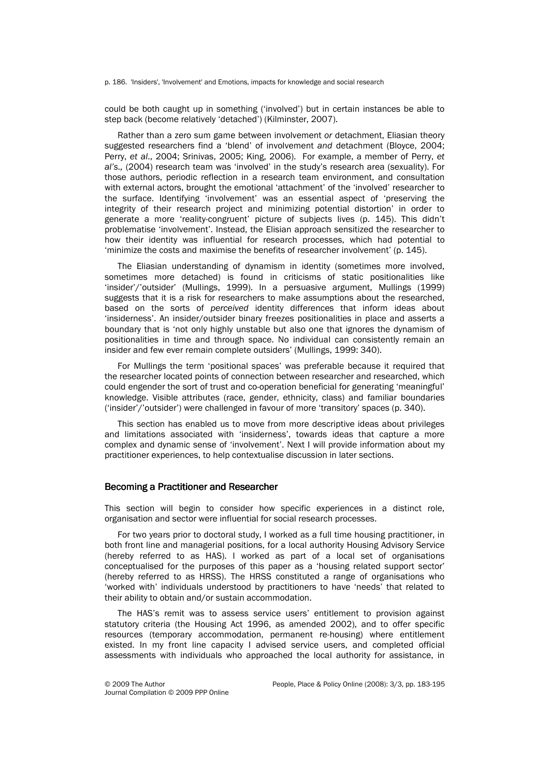p. 186. 'Insiders', 'Involvement' and Emotions, impacts for knowledge and social research

could be both caught up in something ('involved') but in certain instances be able to step back (become relatively 'detached') (Kilminster, 2007).

Rather than a zero sum game between involvement or detachment, Eliasian theory suggested researchers find a 'blend' of involvement and detachment (Bloyce, 2004; Perry, et al., 2004; Srinivas, 2005; King, 2006). For example, a member of Perry, et al's., (2004) research team was 'involved' in the study's research area (sexuality). For those authors, periodic reflection in a research team environment, and consultation with external actors, brought the emotional 'attachment' of the 'involved' researcher to the surface. Identifying 'involvement' was an essential aspect of 'preserving the integrity of their research project and minimizing potential distortion' in order to generate a more 'reality-congruent' picture of subjects lives (p. 145). This didn't problematise 'involvement'. Instead, the Elisian approach sensitized the researcher to how their identity was influential for research processes, which had potential to 'minimize the costs and maximise the benefits of researcher involvement' (p. 145).

The Eliasian understanding of dynamism in identity (sometimes more involved, sometimes more detached) is found in criticisms of static positionalities like 'insider'/'outsider' (Mullings, 1999). In a persuasive argument, Mullings (1999) suggests that it is a risk for researchers to make assumptions about the researched, based on the sorts of perceived identity differences that inform ideas about 'insiderness'. An insider/outsider binary freezes positionalities in place and asserts a boundary that is 'not only highly unstable but also one that ignores the dynamism of positionalities in time and through space. No individual can consistently remain an insider and few ever remain complete outsiders' (Mullings, 1999: 340).

For Mullings the term 'positional spaces' was preferable because it required that the researcher located points of connection between researcher and researched, which could engender the sort of trust and co-operation beneficial for generating 'meaningful' knowledge. Visible attributes (race, gender, ethnicity, class) and familiar boundaries ('insider'/'outsider') were challenged in favour of more 'transitory' spaces (p. 340).

This section has enabled us to move from more descriptive ideas about privileges and limitations associated with 'insiderness', towards ideas that capture a more complex and dynamic sense of 'involvement'. Next I will provide information about my practitioner experiences, to help contextualise discussion in later sections.

#### Becoming a Practitioner and Researcher

This section will begin to consider how specific experiences in a distinct role, organisation and sector were influential for social research processes.

For two years prior to doctoral study, I worked as a full time housing practitioner, in both front line and managerial positions, for a local authority Housing Advisory Service (hereby referred to as HAS). I worked as part of a local set of organisations conceptualised for the purposes of this paper as a 'housing related support sector' (hereby referred to as HRSS). The HRSS constituted a range of organisations who 'worked with' individuals understood by practitioners to have 'needs' that related to their ability to obtain and/or sustain accommodation.

The HAS's remit was to assess service users' entitlement to provision against statutory criteria (the Housing Act 1996, as amended 2002), and to offer specific resources (temporary accommodation, permanent re-housing) where entitlement existed. In my front line capacity I advised service users, and completed official assessments with individuals who approached the local authority for assistance, in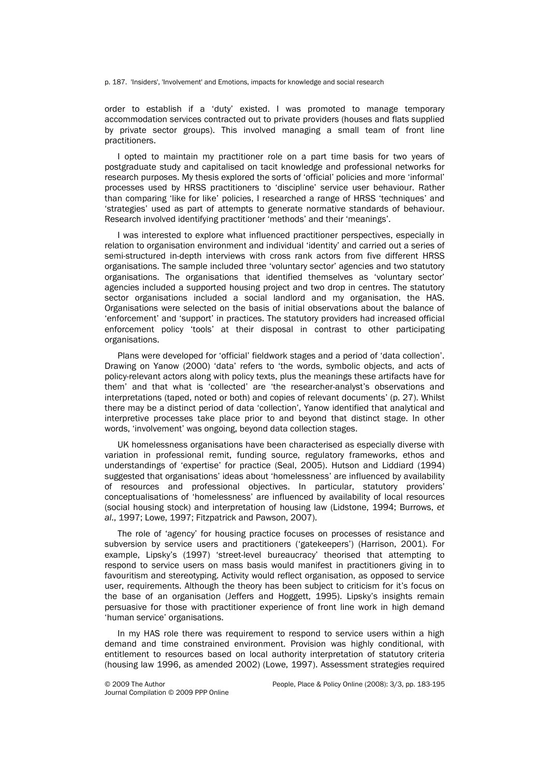p. 187. 'Insiders', 'Involvement' and Emotions, impacts for knowledge and social research

order to establish if a 'duty' existed. I was promoted to manage temporary accommodation services contracted out to private providers (houses and flats supplied by private sector groups). This involved managing a small team of front line practitioners.

I opted to maintain my practitioner role on a part time basis for two years of postgraduate study and capitalised on tacit knowledge and professional networks for research purposes. My thesis explored the sorts of 'official' policies and more 'informal' processes used by HRSS practitioners to 'discipline' service user behaviour. Rather than comparing 'like for like' policies, I researched a range of HRSS 'techniques' and 'strategies' used as part of attempts to generate normative standards of behaviour. Research involved identifying practitioner 'methods' and their 'meanings'.

I was interested to explore what influenced practitioner perspectives, especially in relation to organisation environment and individual 'identity' and carried out a series of semi-structured in-depth interviews with cross rank actors from five different HRSS organisations. The sample included three 'voluntary sector' agencies and two statutory organisations. The organisations that identified themselves as 'voluntary sector' agencies included a supported housing project and two drop in centres. The statutory sector organisations included a social landlord and my organisation, the HAS. Organisations were selected on the basis of initial observations about the balance of 'enforcement' and 'support' in practices. The statutory providers had increased official enforcement policy 'tools' at their disposal in contrast to other participating organisations.

Plans were developed for 'official' fieldwork stages and a period of 'data collection'. Drawing on Yanow (2000) 'data' refers to 'the words, symbolic objects, and acts of policy-relevant actors along with policy texts, plus the meanings these artifacts have for them' and that what is 'collected' are 'the researcher-analyst's observations and interpretations (taped, noted or both) and copies of relevant documents' (p. 27). Whilst there may be a distinct period of data 'collection', Yanow identified that analytical and interpretive processes take place prior to and beyond that distinct stage. In other words, 'involvement' was ongoing, beyond data collection stages.

UK homelessness organisations have been characterised as especially diverse with variation in professional remit, funding source, regulatory frameworks, ethos and understandings of 'expertise' for practice (Seal, 2005). Hutson and Liddiard (1994) suggested that organisations' ideas about 'homelessness' are influenced by availability of resources and professional objectives. In particular, statutory providers' conceptualisations of 'homelessness' are influenced by availability of local resources (social housing stock) and interpretation of housing law (Lidstone, 1994; Burrows, et al., 1997; Lowe, 1997; Fitzpatrick and Pawson, 2007).

The role of 'agency' for housing practice focuses on processes of resistance and subversion by service users and practitioners ('gatekeepers') (Harrison, 2001). For example, Lipsky's (1997) 'street-level bureaucracy' theorised that attempting to respond to service users on mass basis would manifest in practitioners giving in to favouritism and stereotyping. Activity would reflect organisation, as opposed to service user, requirements. Although the theory has been subject to criticism for it's focus on the base of an organisation (Jeffers and Hoggett, 1995). Lipsky's insights remain persuasive for those with practitioner experience of front line work in high demand 'human service' organisations.

In my HAS role there was requirement to respond to service users within a high demand and time constrained environment. Provision was highly conditional, with entitlement to resources based on local authority interpretation of statutory criteria (housing law 1996, as amended 2002) (Lowe, 1997). Assessment strategies required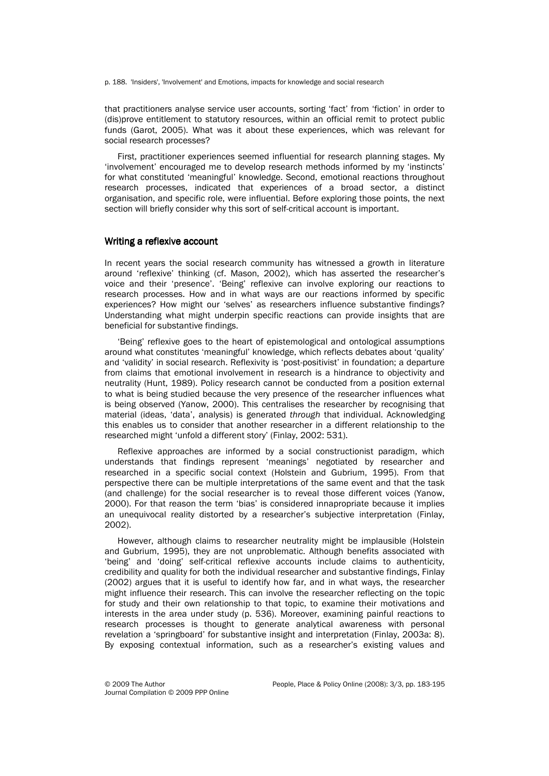p. 188. 'Insiders', 'Involvement' and Emotions, impacts for knowledge and social research

that practitioners analyse service user accounts, sorting 'fact' from 'fiction' in order to (dis)prove entitlement to statutory resources, within an official remit to protect public funds (Garot, 2005). What was it about these experiences, which was relevant for social research processes?

First, practitioner experiences seemed influential for research planning stages. My 'involvement' encouraged me to develop research methods informed by my 'instincts' for what constituted 'meaningful' knowledge. Second, emotional reactions throughout research processes, indicated that experiences of a broad sector, a distinct organisation, and specific role, were influential. Before exploring those points, the next section will briefly consider why this sort of self-critical account is important.

#### Writing a reflexive account

In recent years the social research community has witnessed a growth in literature around 'reflexive' thinking (cf. Mason, 2002), which has asserted the researcher's voice and their 'presence'. 'Being' reflexive can involve exploring our reactions to research processes. How and in what ways are our reactions informed by specific experiences? How might our 'selves' as researchers influence substantive findings? Understanding what might underpin specific reactions can provide insights that are beneficial for substantive findings.

'Being' reflexive goes to the heart of epistemological and ontological assumptions around what constitutes 'meaningful' knowledge, which reflects debates about 'quality' and 'validity' in social research. Reflexivity is 'post-positivist' in foundation; a departure from claims that emotional involvement in research is a hindrance to objectivity and neutrality (Hunt, 1989). Policy research cannot be conducted from a position external to what is being studied because the very presence of the researcher influences what is being observed (Yanow, 2000). This centralises the researcher by recognising that material (ideas, 'data', analysis) is generated through that individual. Acknowledging this enables us to consider that another researcher in a different relationship to the researched might 'unfold a different story' (Finlay, 2002: 531).

Reflexive approaches are informed by a social constructionist paradigm, which understands that findings represent 'meanings' negotiated by researcher and researched in a specific social context (Holstein and Gubrium, 1995). From that perspective there can be multiple interpretations of the same event and that the task (and challenge) for the social researcher is to reveal those different voices (Yanow, 2000). For that reason the term 'bias' is considered innapropriate because it implies an unequivocal reality distorted by a researcher's subjective interpretation (Finlay, 2002).

However, although claims to researcher neutrality might be implausible (Holstein and Gubrium, 1995), they are not unproblematic. Although benefits associated with 'being' and 'doing' self-critical reflexive accounts include claims to authenticity, credibility and quality for both the individual researcher and substantive findings, Finlay (2002) argues that it is useful to identify how far, and in what ways, the researcher might influence their research. This can involve the researcher reflecting on the topic for study and their own relationship to that topic, to examine their motivations and interests in the area under study (p. 536). Moreover, examining painful reactions to research processes is thought to generate analytical awareness with personal revelation a 'springboard' for substantive insight and interpretation (Finlay, 2003a: 8). By exposing contextual information, such as a researcher's existing values and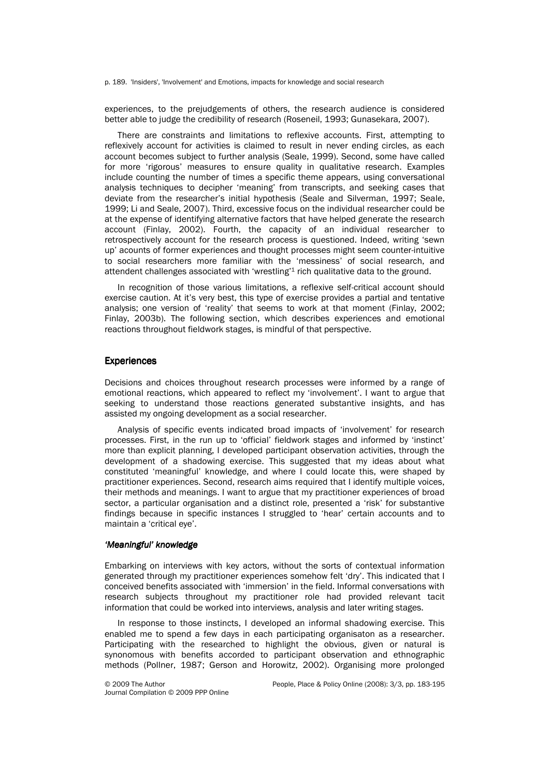p. 189. 'Insiders', 'Involvement' and Emotions, impacts for knowledge and social research

experiences, to the prejudgements of others, the research audience is considered better able to judge the credibility of research (Roseneil, 1993; Gunasekara, 2007).

There are constraints and limitations to reflexive accounts. First, attempting to reflexively account for activities is claimed to result in never ending circles, as each account becomes subject to further analysis (Seale, 1999). Second, some have called for more 'rigorous' measures to ensure quality in qualitative research. Examples include counting the number of times a specific theme appears, using conversational analysis techniques to decipher 'meaning' from transcripts, and seeking cases that deviate from the researcher's initial hypothesis (Seale and Silverman, 1997; Seale, 1999; Li and Seale, 2007). Third, excessive focus on the individual researcher could be at the expense of identifying alternative factors that have helped generate the research account (Finlay, 2002). Fourth, the capacity of an individual researcher to retrospectively account for the research process is questioned. Indeed, writing 'sewn up' acounts of former experiences and thought processes might seem counter-intuitive to social researchers more familiar with the 'messiness' of social research, and attendent challenges associated with 'wrestling' $1$  rich qualitative data to the ground.

In recognition of those various limitations, a reflexive self-critical account should exercise caution. At it's very best, this type of exercise provides a partial and tentative analysis; one version of 'reality' that seems to work at that moment (Finlay, 2002; Finlay, 2003b). The following section, which describes experiences and emotional reactions throughout fieldwork stages, is mindful of that perspective.

# **Experiences**

Decisions and choices throughout research processes were informed by a range of emotional reactions, which appeared to reflect my 'involvement'. I want to argue that seeking to understand those reactions generated substantive insights, and has assisted my ongoing development as a social researcher.

Analysis of specific events indicated broad impacts of 'involvement' for research processes. First, in the run up to 'official' fieldwork stages and informed by 'instinct' more than explicit planning, I developed participant observation activities, through the development of a shadowing exercise. This suggested that my ideas about what constituted 'meaningful' knowledge, and where I could locate this, were shaped by practitioner experiences. Second, research aims required that I identify multiple voices, their methods and meanings. I want to argue that my practitioner experiences of broad sector, a particular organisation and a distinct role, presented a 'risk' for substantive findings because in specific instances I struggled to 'hear' certain accounts and to maintain a 'critical eye'.

#### 'Meaningful' knowledge

Embarking on interviews with key actors, without the sorts of contextual information generated through my practitioner experiences somehow felt 'dry'. This indicated that I conceived benefits associated with 'immersion' in the field. Informal conversations with research subjects throughout my practitioner role had provided relevant tacit information that could be worked into interviews, analysis and later writing stages.

In response to those instincts, I developed an informal shadowing exercise. This enabled me to spend a few days in each participating organisaton as a researcher. Participating with the researched to highlight the obvious, given or natural is synonomous with benefits accorded to participant observation and ethnographic methods (Pollner, 1987; Gerson and Horowitz, 2002). Organising more prolonged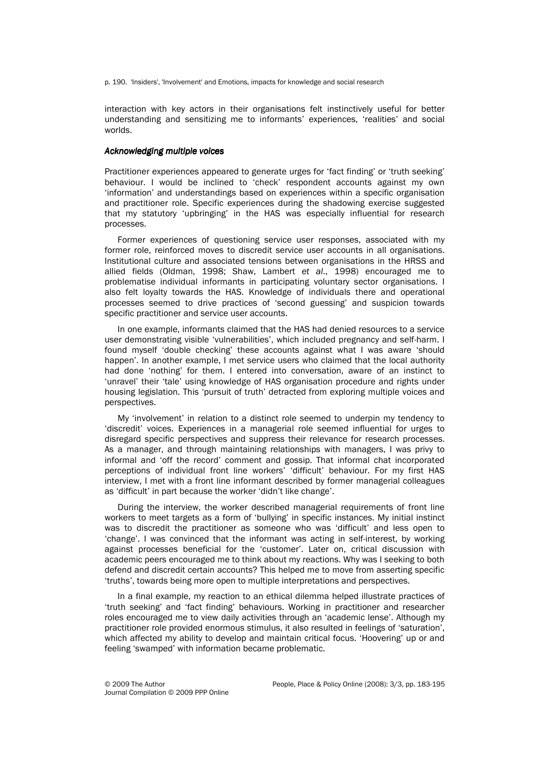p. 190. 'Insiders', 'Involvement' and Emotions, impacts for knowledge and social research

interaction with key actors in their organisations felt instinctively useful for better understanding and sensitizing me to informants' experiences, 'realities' and social worlds.

# Acknowledging multiple voices

Practitioner experiences appeared to generate urges for 'fact finding' or 'truth seeking' behaviour. I would be inclined to 'check' respondent accounts against my own 'information' and understandings based on experiences within a specific organisation and practitioner role. Specific experiences during the shadowing exercise suggested that my statutory 'upbringing' in the HAS was especially influential for research processes.

Former experiences of questioning service user responses, associated with my former role, reinforced moves to discredit service user accounts in all organisations. Institutional culture and associated tensions between organisations in the HRSS and allied fields (Oldman, 1998; Shaw, Lambert et al., 1998) encouraged me to problematise individual informants in participating voluntary sector organisations. I also felt loyalty towards the HAS. Knowledge of individuals there and operational processes seemed to drive practices of 'second guessing' and suspicion towards specific practitioner and service user accounts.

In one example, informants claimed that the HAS had denied resources to a service user demonstrating visible 'vulnerabilities', which included pregnancy and self-harm. I found myself 'double checking' these accounts against what I was aware 'should happen'. In another example, I met service users who claimed that the local authority had done 'nothing' for them. I entered into conversation, aware of an instinct to 'unravel' their 'tale' using knowledge of HAS organisation procedure and rights under housing legislation. This 'pursuit of truth' detracted from exploring multiple voices and perspectives.

My 'involvement' in relation to a distinct role seemed to underpin my tendency to 'discredit' voices. Experiences in a managerial role seemed influential for urges to disregard specific perspectives and suppress their relevance for research processes. As a manager, and through maintaining relationships with managers, I was privy to informal and 'off the record' comment and gossip. That informal chat incorporated perceptions of individual front line workers' 'difficult' behaviour. For my first HAS interview, I met with a front line informant described by former managerial colleagues as 'difficult' in part because the worker 'didn't like change'.

During the interview, the worker described managerial requirements of front line workers to meet targets as a form of 'bullying' in specific instances. My initial instinct was to discredit the practitioner as someone who was 'difficult' and less open to 'change'. I was convinced that the informant was acting in self-interest, by working against processes beneficial for the 'customer'. Later on, critical discussion with academic peers encouraged me to think about my reactions. Why was I seeking to both defend and discredit certain accounts? This helped me to move from asserting specific 'truths', towards being more open to multiple interpretations and perspectives.

In a final example, my reaction to an ethical dilemma helped illustrate practices of 'truth seeking' and 'fact finding' behaviours. Working in practitioner and researcher roles encouraged me to view daily activities through an 'academic lense'. Although my practitioner role provided enormous stimulus, it also resulted in feelings of 'saturation', which affected my ability to develop and maintain critical focus. 'Hoovering' up or and feeling 'swamped' with information became problematic.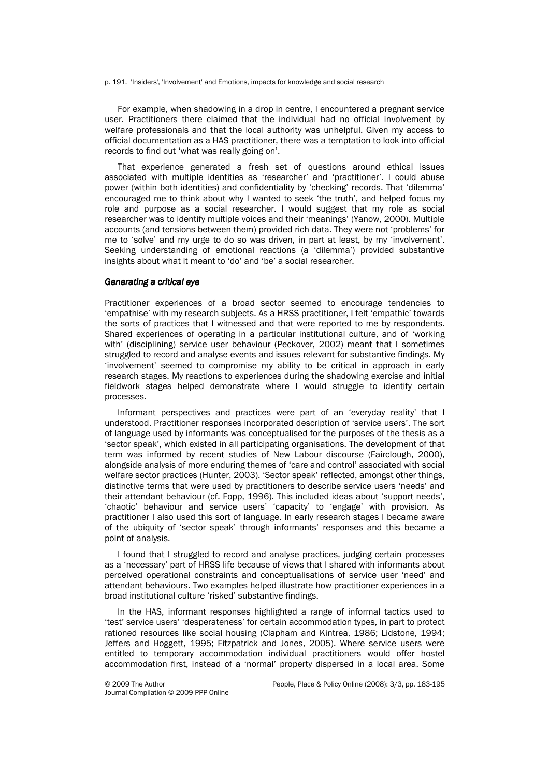p. 191. 'Insiders', 'Involvement' and Emotions, impacts for knowledge and social research

For example, when shadowing in a drop in centre, I encountered a pregnant service user. Practitioners there claimed that the individual had no official involvement by welfare professionals and that the local authority was unhelpful. Given my access to official documentation as a HAS practitioner, there was a temptation to look into official records to find out 'what was really going on'.

That experience generated a fresh set of questions around ethical issues associated with multiple identities as 'researcher' and 'practitioner'. I could abuse power (within both identities) and confidentiality by 'checking' records. That 'dilemma' encouraged me to think about why I wanted to seek 'the truth', and helped focus my role and purpose as a social researcher. I would suggest that my role as social researcher was to identify multiple voices and their 'meanings' (Yanow, 2000). Multiple accounts (and tensions between them) provided rich data. They were not 'problems' for me to 'solve' and my urge to do so was driven, in part at least, by my 'involvement'. Seeking understanding of emotional reactions (a 'dilemma') provided substantive insights about what it meant to 'do' and 'be' a social researcher.

# Generating a critical eye

Practitioner experiences of a broad sector seemed to encourage tendencies to 'empathise' with my research subjects. As a HRSS practitioner, I felt 'empathic' towards the sorts of practices that I witnessed and that were reported to me by respondents. Shared experiences of operating in a particular institutional culture, and of 'working with' (disciplining) service user behaviour (Peckover, 2002) meant that I sometimes struggled to record and analyse events and issues relevant for substantive findings. My 'involvement' seemed to compromise my ability to be critical in approach in early research stages. My reactions to experiences during the shadowing exercise and initial fieldwork stages helped demonstrate where I would struggle to identify certain processes.

Informant perspectives and practices were part of an 'everyday reality' that I understood. Practitioner responses incorporated description of 'service users'. The sort of language used by informants was conceptualised for the purposes of the thesis as a 'sector speak', which existed in all participating organisations. The development of that term was informed by recent studies of New Labour discourse (Fairclough, 2000), alongside analysis of more enduring themes of 'care and control' associated with social welfare sector practices (Hunter, 2003). 'Sector speak' reflected, amongst other things, distinctive terms that were used by practitioners to describe service users 'needs' and their attendant behaviour (cf. Fopp, 1996). This included ideas about 'support needs', 'chaotic' behaviour and service users' 'capacity' to 'engage' with provision. As practitioner I also used this sort of language. In early research stages I became aware of the ubiquity of 'sector speak' through informants' responses and this became a point of analysis.

I found that I struggled to record and analyse practices, judging certain processes as a 'necessary' part of HRSS life because of views that I shared with informants about perceived operational constraints and conceptualisations of service user 'need' and attendant behaviours. Two examples helped illustrate how practitioner experiences in a broad institutional culture 'risked' substantive findings.

In the HAS, informant responses highlighted a range of informal tactics used to 'test' service users' 'desperateness' for certain accommodation types, in part to protect rationed resources like social housing (Clapham and Kintrea, 1986; Lidstone, 1994; Jeffers and Hoggett, 1995; Fitzpatrick and Jones, 2005). Where service users were entitled to temporary accommodation individual practitioners would offer hostel accommodation first, instead of a 'normal' property dispersed in a local area. Some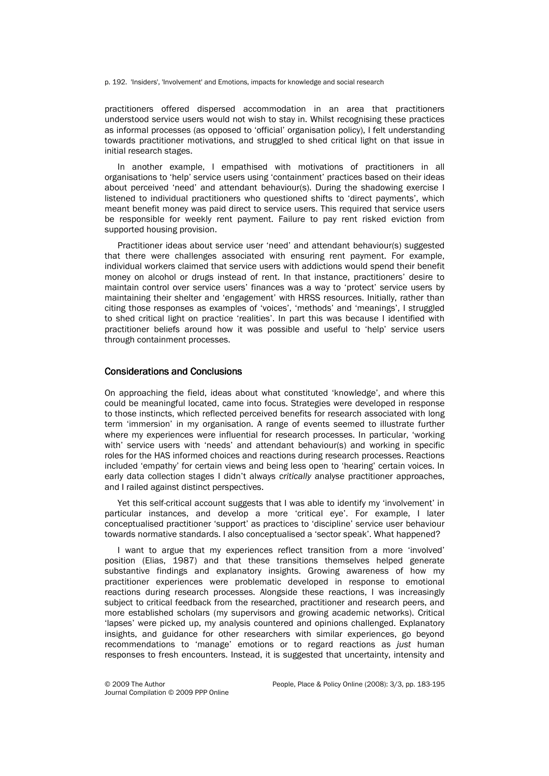p. 192. 'Insiders', 'Involvement' and Emotions, impacts for knowledge and social research

practitioners offered dispersed accommodation in an area that practitioners understood service users would not wish to stay in. Whilst recognising these practices as informal processes (as opposed to 'official' organisation policy), I felt understanding towards practitioner motivations, and struggled to shed critical light on that issue in initial research stages.

In another example, I empathised with motivations of practitioners in all organisations to 'help' service users using 'containment' practices based on their ideas about perceived 'need' and attendant behaviour(s). During the shadowing exercise I listened to individual practitioners who questioned shifts to 'direct payments', which meant benefit money was paid direct to service users. This required that service users be responsible for weekly rent payment. Failure to pay rent risked eviction from supported housing provision.

Practitioner ideas about service user 'need' and attendant behaviour(s) suggested that there were challenges associated with ensuring rent payment. For example, individual workers claimed that service users with addictions would spend their benefit money on alcohol or drugs instead of rent. In that instance, practitioners' desire to maintain control over service users' finances was a way to 'protect' service users by maintaining their shelter and 'engagement' with HRSS resources. Initially, rather than citing those responses as examples of 'voices', 'methods' and 'meanings', I struggled to shed critical light on practice 'realities'. In part this was because I identified with practitioner beliefs around how it was possible and useful to 'help' service users through containment processes.

# **Considerations and Conclusions**

On approaching the field, ideas about what constituted 'knowledge', and where this could be meaningful located, came into focus. Strategies were developed in response to those instincts, which reflected perceived benefits for research associated with long term 'immersion' in my organisation. A range of events seemed to illustrate further where my experiences were influential for research processes. In particular, 'working with' service users with 'needs' and attendant behaviour(s) and working in specific roles for the HAS informed choices and reactions during research processes. Reactions included 'empathy' for certain views and being less open to 'hearing' certain voices. In early data collection stages I didn't always critically analyse practitioner approaches, and I railed against distinct perspectives.

Yet this self-critical account suggests that I was able to identify my 'involvement' in particular instances, and develop a more 'critical eye'. For example, I later conceptualised practitioner 'support' as practices to 'discipline' service user behaviour towards normative standards. I also conceptualised a 'sector speak'. What happened?

I want to argue that my experiences reflect transition from a more 'involved' position (Elias, 1987) and that these transitions themselves helped generate substantive findings and explanatory insights. Growing awareness of how my practitioner experiences were problematic developed in response to emotional reactions during research processes. Alongside these reactions, I was increasingly subject to critical feedback from the researched, practitioner and research peers, and more established scholars (my supervisors and growing academic networks). Critical 'lapses' were picked up, my analysis countered and opinions challenged. Explanatory insights, and guidance for other researchers with similar experiences, go beyond recommendations to 'manage' emotions or to regard reactions as just human responses to fresh encounters. Instead, it is suggested that uncertainty, intensity and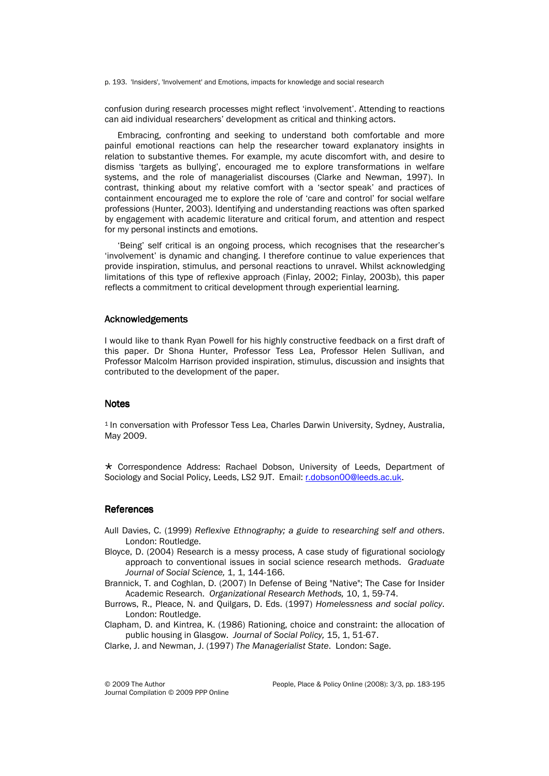p. 193. 'Insiders', 'Involvement' and Emotions, impacts for knowledge and social research

confusion during research processes might reflect 'involvement'. Attending to reactions can aid individual researchers' development as critical and thinking actors.

Embracing, confronting and seeking to understand both comfortable and more painful emotional reactions can help the researcher toward explanatory insights in relation to substantive themes. For example, my acute discomfort with, and desire to dismiss 'targets as bullying', encouraged me to explore transformations in welfare systems, and the role of managerialist discourses (Clarke and Newman, 1997). In contrast, thinking about my relative comfort with a 'sector speak' and practices of containment encouraged me to explore the role of 'care and control' for social welfare professions (Hunter, 2003). Identifying and understanding reactions was often sparked by engagement with academic literature and critical forum, and attention and respect for my personal instincts and emotions.

'Being' self critical is an ongoing process, which recognises that the researcher's 'involvement' is dynamic and changing. I therefore continue to value experiences that provide inspiration, stimulus, and personal reactions to unravel. Whilst acknowledging limitations of this type of reflexive approach (Finlay, 2002; Finlay, 2003b), this paper reflects a commitment to critical development through experiential learning.

# Acknowledgements Acknowledgements

I would like to thank Ryan Powell for his highly constructive feedback on a first draft of this paper. Dr Shona Hunter, Professor Tess Lea, Professor Helen Sullivan, and Professor Malcolm Harrison provided inspiration, stimulus, discussion and insights that contributed to the development of the paper.

#### **Notes**

<sup>1</sup> In conversation with Professor Tess Lea, Charles Darwin University, Sydney, Australia, May 2009.

 Correspondence Address: Rachael Dobson, University of Leeds, Department of Sociology and Social Policy, Leeds, LS2 9JT. Email: r.dobson00@leeds.ac.uk.

# **References**

- Aull Davies, C. (1999) Reflexive Ethnography; a guide to researching self and others. London: Routledge.
- Bloyce, D. (2004) Research is a messy process, A case study of figurational sociology approach to conventional issues in social science research methods. Graduate Journal of Social Science, 1, 1, 144-166.
- Brannick, T. and Coghlan, D. (2007) In Defense of Being "Native"; The Case for Insider Academic Research. Organizational Research Methods, 10, 1, 59-74.
- Burrows, R., Pleace, N. and Quilgars, D. Eds. (1997) Homelessness and social policy. London: Routledge.
- Clapham, D. and Kintrea, K. (1986) Rationing, choice and constraint: the allocation of public housing in Glasgow. Journal of Social Policy, 15, 1, 51-67.

Clarke, J. and Newman, J. (1997) The Managerialist State. London: Sage.

Journal Compilation © 2009 PPP Online

© 2009 The Author People, Place & Policy Online (2008): 3/3, pp. 183-195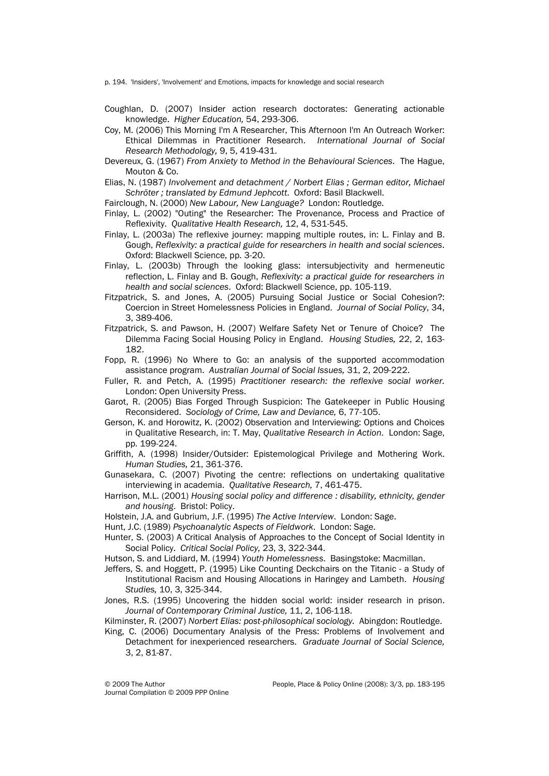p. 194. 'Insiders', 'Involvement' and Emotions, impacts for knowledge and social research

- Coughlan, D. (2007) Insider action research doctorates: Generating actionable knowledge. Higher Education, 54, 293-306.
- Coy, M. (2006) This Morning I'm A Researcher, This Afternoon I'm An Outreach Worker: Ethical Dilemmas in Practitioner Research. International Journal of Social Research Methodology, 9, 5, 419-431.
- Devereux, G. (1967) From Anxiety to Method in the Behavioural Sciences. The Hague, Mouton & Co.
- Elias, N. (1987) Involvement and detachment / Norbert Elias ; German editor, Michael Schröter ; translated by Edmund Jephcott. Oxford: Basil Blackwell.
- Fairclough, N. (2000) New Labour, New Language? London: Routledge.
- Finlay, L. (2002) "Outing" the Researcher: The Provenance, Process and Practice of Reflexivity. Qualitative Health Research, 12, 4, 531-545.
- Finlay, L. (2003a) The reflexive journey: mapping multiple routes, in: L. Finlay and B. Gough, Reflexivity: a practical guide for researchers in health and social sciences. Oxford: Blackwell Science, pp.3-20.
- Finlay, L. (2003b) Through the looking glass: intersubjectivity and hermeneutic reflection, L. Finlay and B. Gough, Reflexivity: a practical guide for researchers in health and social sciences. Oxford: Blackwell Science, pp. 105-119.
- Fitzpatrick, S. and Jones, A. (2005) Pursuing Social Justice or Social Cohesion?: Coercion in Street Homelessness Policies in England. Journal of Social Policy, 34, 3, 389-406.
- Fitzpatrick, S. and Pawson, H. (2007) Welfare Safety Net or Tenure of Choice? The Dilemma Facing Social Housing Policy in England. Housing Studies, 22, 2, 163- 182.
- Fopp, R. (1996) No Where to Go: an analysis of the supported accommodation assistance program. Australian Journal of Social Issues, 31, 2, 209-222.
- Fuller, R. and Petch, A. (1995) Practitioner research: the reflexive social worker. London: Open University Press.
- Garot, R. (2005) Bias Forged Through Suspicion: The Gatekeeper in Public Housing Reconsidered. Sociology of Crime, Law and Deviance, 6, 77-105.
- Gerson, K. and Horowitz, K. (2002) Observation and Interviewing: Options and Choices in Qualitative Research, in: T. May, Qualitative Research in Action. London: Sage, pp. 199-224.
- Griffith, A. (1998) Insider/Outsider: Epistemological Privilege and Mothering Work. Human Studies, 21, 361-376.
- Gunasekara, C. (2007) Pivoting the centre: reflections on undertaking qualitative interviewing in academia. Qualitative Research, 7, 461-475.
- Harrison, M.L. (2001) Housing social policy and difference : disability, ethnicity, gender and housing. Bristol: Policy.
- Holstein, J.A. and Gubrium, J.F. (1995) The Active Interview. London: Sage.
- Hunt, J.C. (1989) Psychoanalytic Aspects of Fieldwork. London: Sage.
- Hunter, S. (2003) A Critical Analysis of Approaches to the Concept of Social Identity in Social Policy. Critical Social Policy, 23, 3, 322-344.
- Hutson, S. and Liddiard, M. (1994) Youth Homelessness. Basingstoke: Macmillan.
- Jeffers, S. and Hoggett, P. (1995) Like Counting Deckchairs on the Titanic a Study of Institutional Racism and Housing Allocations in Haringey and Lambeth. Housing Studies, 10, 3, 325-344.
- Jones, R.S. (1995) Uncovering the hidden social world: insider research in prison. Journal of Contemporary Criminal Justice, 11, 2, 106-118.

Kilminster, R. (2007) Norbert Elias: post-philosophical sociology. Abingdon: Routledge.

King, C. (2006) Documentary Analysis of the Press: Problems of Involvement and Detachment for inexperienced researchers. Graduate Journal of Social Science, 3, 2, 81-87.